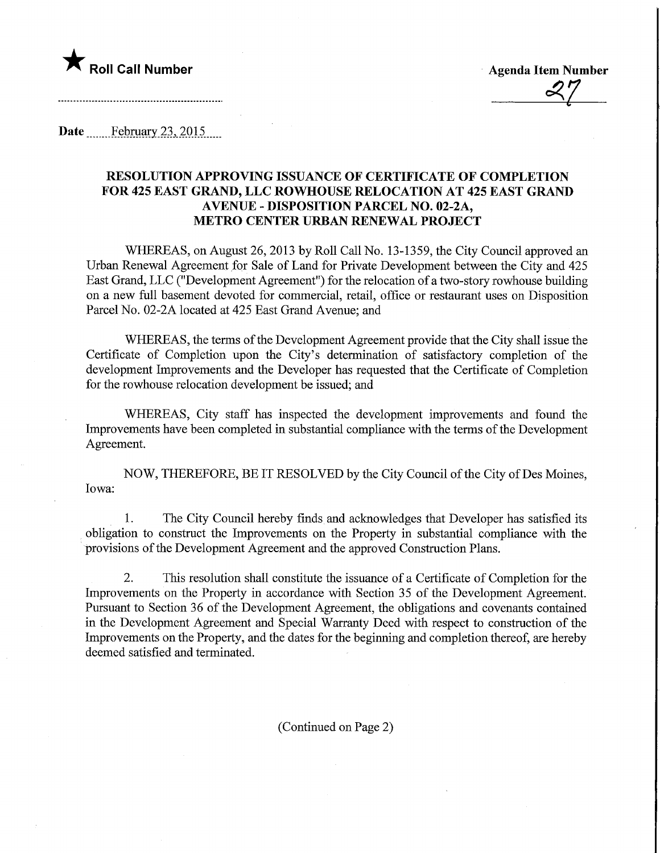

Roll Call Number Agenda Item Number  $\frac{\alpha}{2}$ 

Date February 23, 2015.

## RESOLUTION APPROVING ISSUANCE OF CERTIFICATE OF COMPLETION FOR 425 EAST GRAND, LLC ROWHOUSE RELOCATION AT 425 EAST GRAND AVENUE - DISPOSITION PARCEL NO. 02-2A, METRO CENTER URBAN RENEWAL PROJECT

WHEREAS, on August 26, 2013 by Roll Call No. 13-1359, the City Council approved an Urban Renewal Agreement for Sale of Land for Private Development between the City and 425 East Grand, LLC ("Development Agreement") for the relocation of a two-story rowhouse building on a new full basement devoted for commercial, retail, office or restaurant uses on Disposition Parcel No. 02-2A located at 425 East Grand Avenue; and

WHEREAS, the terms of the Development Agreement provide that the City shall issue the Certificate of Completion upon the City's determination of satisfactory completion of the development Improvements and the Developer has requested that the Certificate of Completion for the rowhouse relocation development be issued; and

WHEREAS, City staff has inspected the development improvements and found the Improvements have been completed in substantial compliance with the terms of the Development Agreement.

NOW, THEREFORE, BE IT RESOLVED by the City Council of the City of Des Moines, Iowa:

1. The City Council hereby finds and acknowledges that Developer has satisfied its obligation to construct the Improvements on the Property in substantial compliance with the provisions of the Development Agreement and the approved Construction Plans.

2. This resolution shall constitute the issuance of a Certificate of Completion for the Improvements on the Property in accordance with Section 35 of the Development Agreement. Pursuant to Section 36 of the Development Agreement, the obligations and covenants contained in the Development Agreement and Special Warranty Deed with respect to construction of the Improvements on the Property, and the dates for the beginning and completion thereof, are hereby deemed satisfied and terminated.

(Continued on Page 2)